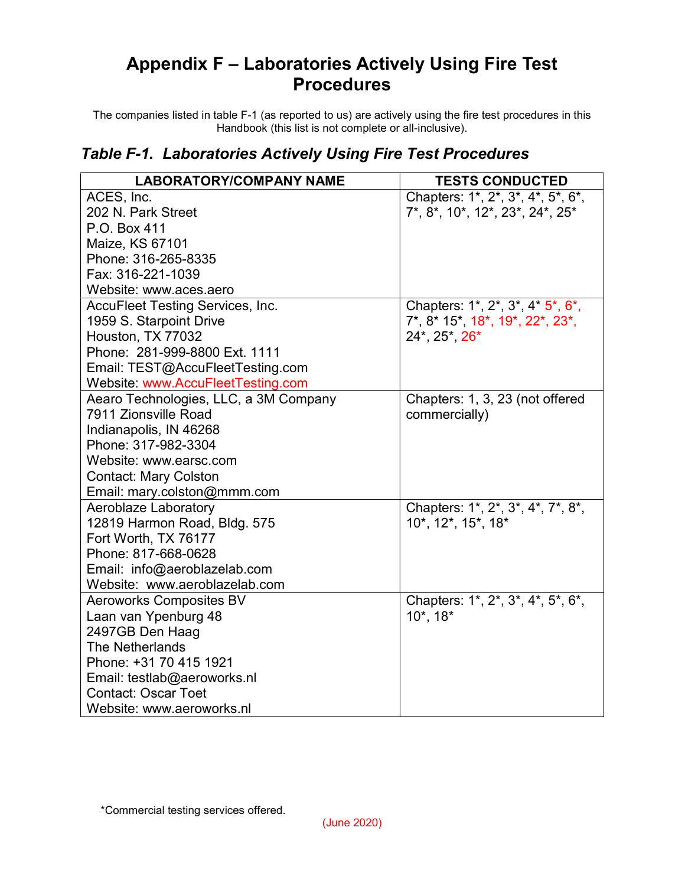## Appendix F – Laboratories Actively Using Fire Test Procedures

The companies listed in table F-1 (as reported to us) are actively using the fire test procedures in this Handbook (this list is not complete or all-inclusive).

## Table F-1. Laboratories Actively Using Fire Test Procedures

| <b>LABORATORY/COMPANY NAME</b>          | <b>TESTS CONDUCTED</b>            |
|-----------------------------------------|-----------------------------------|
| ACES, Inc.                              | Chapters: 1*, 2*, 3*, 4*, 5*, 6*, |
| 202 N. Park Street                      | 7*, 8*, 10*, 12*, 23*, 24*, 25*   |
| P.O. Box 411                            |                                   |
| Maize, KS 67101                         |                                   |
| Phone: 316-265-8335                     |                                   |
| Fax: 316-221-1039                       |                                   |
| Website: www.aces.aero                  |                                   |
| <b>AccuFleet Testing Services, Inc.</b> | Chapters: 1*, 2*, 3*, 4* 5*, 6*,  |
| 1959 S. Starpoint Drive                 | 7*, 8* 15*, 18*, 19*, 22*, 23*,   |
| Houston, TX 77032                       | 24*, 25*, 26*                     |
| Phone: 281-999-8800 Ext. 1111           |                                   |
| Email: TEST@AccuFleetTesting.com        |                                   |
| Website: www.AccuFleetTesting.com       |                                   |
| Aearo Technologies, LLC, a 3M Company   | Chapters: 1, 3, 23 (not offered   |
| 7911 Zionsville Road                    | commercially)                     |
| Indianapolis, IN 46268                  |                                   |
| Phone: 317-982-3304                     |                                   |
| Website: www.earsc.com                  |                                   |
| <b>Contact: Mary Colston</b>            |                                   |
| Email: mary.colston@mmm.com             |                                   |
| <b>Aeroblaze Laboratory</b>             | Chapters: 1*, 2*, 3*, 4*, 7*, 8*, |
| 12819 Harmon Road, Bldg. 575            | 10*, 12*, 15*, 18*                |
| Fort Worth, TX 76177                    |                                   |
| Phone: 817-668-0628                     |                                   |
| Email: info@aeroblazelab.com            |                                   |
| Website: www.aeroblazelab.com           |                                   |
| <b>Aeroworks Composites BV</b>          | Chapters: 1*, 2*, 3*, 4*, 5*, 6*, |
| Laan van Ypenburg 48                    | $10^*$ , $18^*$                   |
| 2497GB Den Haag                         |                                   |
| The Netherlands                         |                                   |
| Phone: +31 70 415 1921                  |                                   |
| Email: testlab@aeroworks.nl             |                                   |
| <b>Contact: Oscar Toet</b>              |                                   |
| Website: www.aeroworks.nl               |                                   |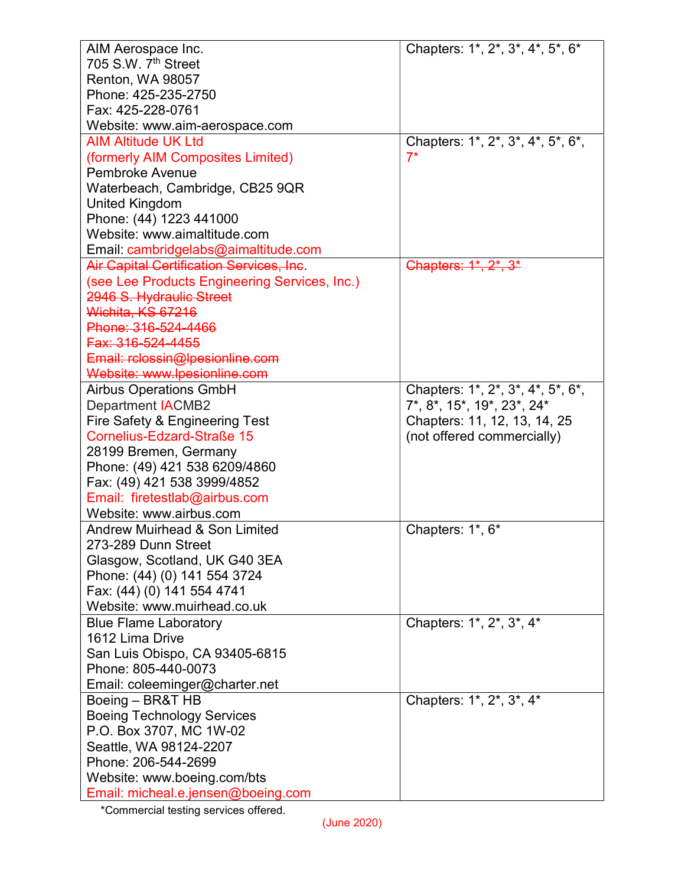| AIM Aerospace Inc.                                           | Chapters: 1*, 2*, 3*, 4*, 5*, 6*  |
|--------------------------------------------------------------|-----------------------------------|
| 705 S.W. 7 <sup>th</sup> Street                              |                                   |
| <b>Renton, WA 98057</b>                                      |                                   |
| Phone: 425-235-2750                                          |                                   |
| Fax: 425-228-0761                                            |                                   |
| Website: www.aim-aerospace.com                               |                                   |
| <b>AIM Altitude UK Ltd</b>                                   | Chapters: 1*, 2*, 3*, 4*, 5*, 6*, |
| (formerly AIM Composites Limited)                            | $7^*$                             |
| <b>Pembroke Avenue</b>                                       |                                   |
| Waterbeach, Cambridge, CB25 9QR                              |                                   |
| <b>United Kingdom</b>                                        |                                   |
| Phone: (44) 1223 441000                                      |                                   |
| Website: www.aimaltitude.com                                 |                                   |
| Email: cambridgelabs@aimaltitude.com                         |                                   |
| <b>Air Capital Certification Services, Inc.</b>              | Chapters: 1*, 2*, 3*              |
| (see Lee Products Engineering Services, Inc.)                |                                   |
| 2946 S. Hydraulic Street                                     |                                   |
| Wichita, KS 67216                                            |                                   |
| Phone: 316-524-4466                                          |                                   |
| Fax: 316-524-4455                                            |                                   |
| Email: rclossin@lpesionline.com                              |                                   |
| Website: www.lpesionline.com                                 |                                   |
| <b>Airbus Operations GmbH</b>                                | Chapters: 1*, 2*, 3*, 4*, 5*, 6*, |
| <b>Department IACMB2</b>                                     | 7*, 8*, 15*, 19*, 23*, 24*        |
| Fire Safety & Engineering Test<br>Cornelius-Edzard-Straße 15 | Chapters: 11, 12, 13, 14, 25      |
|                                                              | (not offered commercially)        |
| 28199 Bremen, Germany<br>Phone: (49) 421 538 6209/4860       |                                   |
| Fax: (49) 421 538 3999/4852                                  |                                   |
| Email: firetestlab@airbus.com                                |                                   |
| Website: www.airbus.com                                      |                                   |
| Andrew Muirhead & Son Limited                                | Chapters: 1*, 6*                  |
| 273-289 Dunn Street                                          |                                   |
| Glasgow, Scotland, UK G40 3EA                                |                                   |
| Phone: (44) (0) 141 554 3724                                 |                                   |
| Fax: (44) (0) 141 554 4741                                   |                                   |
| Website: www.muirhead.co.uk                                  |                                   |
| <b>Blue Flame Laboratory</b>                                 | Chapters: 1*, 2*, 3*, 4*          |
| 1612 Lima Drive                                              |                                   |
| San Luis Obispo, CA 93405-6815                               |                                   |
| Phone: 805-440-0073                                          |                                   |
| Email: coleeminger@charter.net                               |                                   |
| Boeing – BR&T HB                                             | Chapters: 1*, 2*, 3*, 4*          |
| <b>Boeing Technology Services</b>                            |                                   |
| P.O. Box 3707, MC 1W-02                                      |                                   |
| Seattle, WA 98124-2207                                       |                                   |
| Phone: 206-544-2699                                          |                                   |
| Website: www.boeing.com/bts                                  |                                   |
| Email: micheal.e.jensen@boeing.com                           |                                   |
|                                                              |                                   |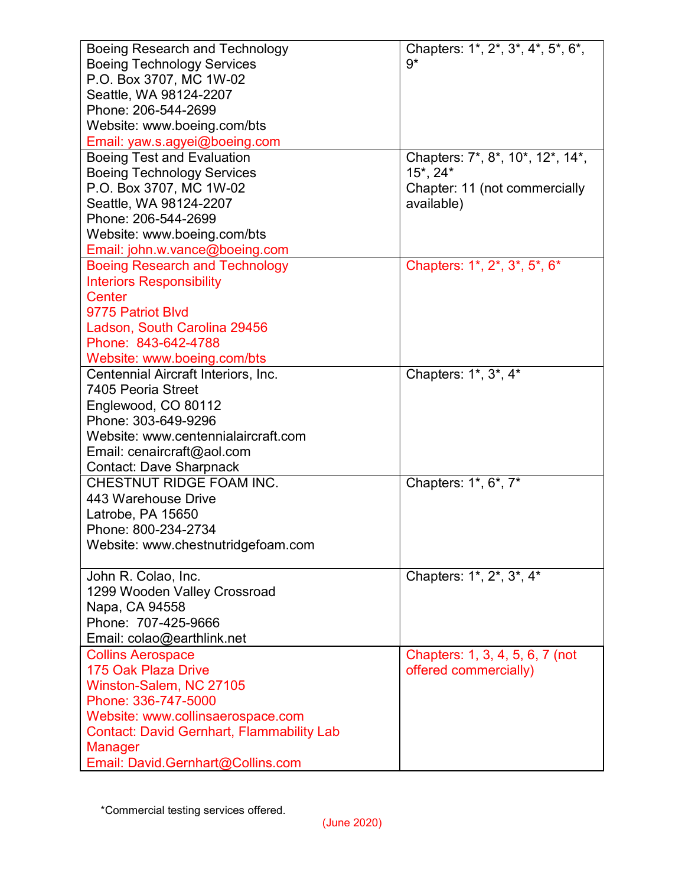| Boeing Research and Technology                   | Chapters: 1*, 2*, 3*, 4*, 5*, 6*, |
|--------------------------------------------------|-----------------------------------|
| <b>Boeing Technology Services</b>                | $9*$                              |
| P.O. Box 3707, MC 1W-02                          |                                   |
| Seattle, WA 98124-2207                           |                                   |
| Phone: 206-544-2699                              |                                   |
| Website: www.boeing.com/bts                      |                                   |
| Email: yaw.s.agyei@boeing.com                    |                                   |
| <b>Boeing Test and Evaluation</b>                | Chapters: 7*, 8*, 10*, 12*, 14*,  |
| <b>Boeing Technology Services</b>                | $15^*$ , 24 $^*$                  |
| P.O. Box 3707, MC 1W-02                          | Chapter: 11 (not commercially     |
| Seattle, WA 98124-2207                           | available)                        |
| Phone: 206-544-2699                              |                                   |
| Website: www.boeing.com/bts                      |                                   |
| Email: john.w.vance@boeing.com                   |                                   |
| <b>Boeing Research and Technology</b>            | Chapters: 1*, 2*, 3*, 5*, 6*      |
| <b>Interiors Responsibility</b>                  |                                   |
| Center                                           |                                   |
| 9775 Patriot Blvd                                |                                   |
| Ladson, South Carolina 29456                     |                                   |
| Phone: 843-642-4788                              |                                   |
| Website: www.boeing.com/bts                      |                                   |
| Centennial Aircraft Interiors, Inc.              | Chapters: 1*, 3*, 4*              |
| 7405 Peoria Street                               |                                   |
| Englewood, CO 80112                              |                                   |
| Phone: 303-649-9296                              |                                   |
| Website: www.centennialaircraft.com              |                                   |
| Email: cenaircraft@aol.com                       |                                   |
| <b>Contact: Dave Sharpnack</b>                   |                                   |
| CHESTNUT RIDGE FOAM INC.                         | Chapters: 1*, 6*, 7*              |
| 443 Warehouse Drive                              |                                   |
| Latrobe, PA 15650                                |                                   |
| Phone: 800-234-2734                              |                                   |
| Website: www.chestnutridgefoam.com               |                                   |
|                                                  |                                   |
| John R. Colao, Inc.                              | Chapters: 1*, 2*, 3*, 4*          |
| 1299 Wooden Valley Crossroad                     |                                   |
| Napa, CA 94558                                   |                                   |
| Phone: 707-425-9666                              |                                   |
| Email: colao@earthlink.net                       |                                   |
| <b>Collins Aerospace</b>                         | Chapters: 1, 3, 4, 5, 6, 7 (not   |
| 175 Oak Plaza Drive                              | offered commercially)             |
| Winston-Salem, NC 27105                          |                                   |
| Phone: 336-747-5000                              |                                   |
| Website: www.collinsaerospace.com                |                                   |
| <b>Contact: David Gernhart, Flammability Lab</b> |                                   |
| Manager                                          |                                   |
| Email: David.Gernhart@Collins.com                |                                   |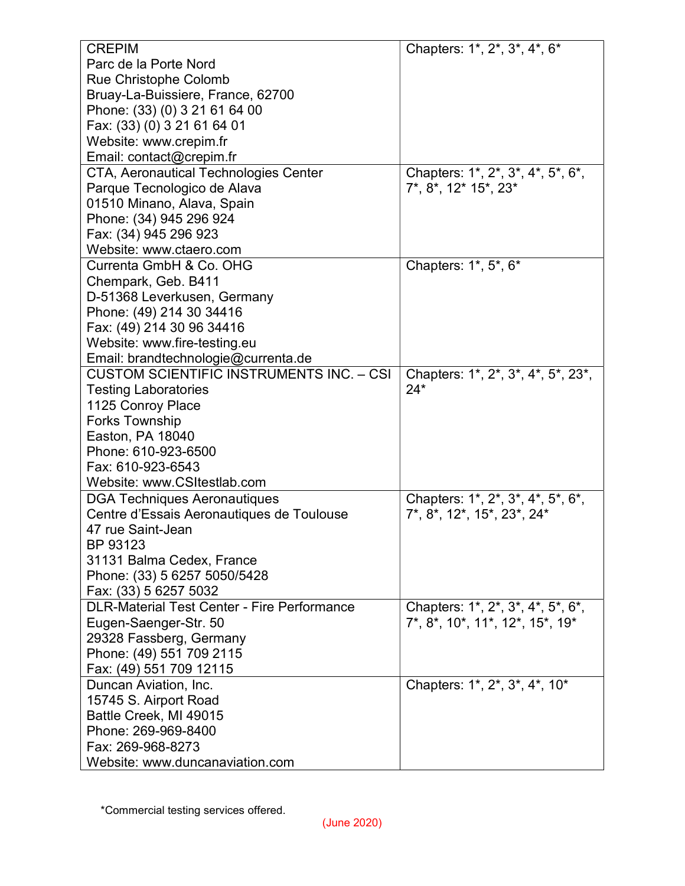| <b>CREPIM</b>                                      | Chapters: 1*, 2*, 3*, 4*, 6*                               |
|----------------------------------------------------|------------------------------------------------------------|
| Parc de la Porte Nord                              |                                                            |
| <b>Rue Christophe Colomb</b>                       |                                                            |
| Bruay-La-Buissiere, France, 62700                  |                                                            |
| Phone: (33) (0) 3 21 61 64 00                      |                                                            |
| Fax: (33) (0) 3 21 61 64 01                        |                                                            |
| Website: www.crepim.fr                             |                                                            |
| Email: contact@crepim.fr                           |                                                            |
| CTA, Aeronautical Technologies Center              | Chapters: 1*, 2*, 3*, 4*, 5*, 6*,                          |
| Parque Tecnologico de Alava                        | 7*, 8*, 12* 15*, 23*                                       |
| 01510 Minano, Alava, Spain                         |                                                            |
| Phone: (34) 945 296 924                            |                                                            |
| Fax: (34) 945 296 923                              |                                                            |
| Website: www.ctaero.com                            |                                                            |
| Currenta GmbH & Co. OHG                            | Chapters: 1*, 5*, 6*                                       |
| Chempark, Geb. B411                                |                                                            |
| D-51368 Leverkusen, Germany                        |                                                            |
| Phone: (49) 214 30 34416                           |                                                            |
| Fax: (49) 214 30 96 34416                          |                                                            |
| Website: www.fire-testing.eu                       |                                                            |
| Email: brandtechnologie@currenta.de                |                                                            |
| <b>CUSTOM SCIENTIFIC INSTRUMENTS INC. - CSI</b>    | Chapters: 1*, 2*, 3*, 4*, 5*, 23*,                         |
| <b>Testing Laboratories</b>                        | $24*$                                                      |
| 1125 Conroy Place                                  |                                                            |
| <b>Forks Township</b>                              |                                                            |
| Easton, PA 18040                                   |                                                            |
| Phone: 610-923-6500                                |                                                            |
| Fax: 610-923-6543                                  |                                                            |
| Website: www.CSItestlab.com                        |                                                            |
| DGA Techniques Aeronautiques                       | Chapters: 1*, 2*, 3*, 4*, 5*, 6*,                          |
| Centre d'Essais Aeronautiques de Toulouse          | 7*, 8*, 12*, 15*, 23*, 24*                                 |
| 47 rue Saint-Jean                                  |                                                            |
| BP 93123                                           |                                                            |
| 31131 Balma Cedex, France                          |                                                            |
| Phone: (33) 5 6257 5050/5428                       |                                                            |
| Fax: (33) 5 6257 5032                              |                                                            |
| <b>DLR-Material Test Center - Fire Performance</b> | Chapters: 1*, 2*, 3*, 4*, 5*, 6*,                          |
| Eugen-Saenger-Str. 50                              | $7^*$ , $8^*$ , $10^*$ , $11^*$ , $12^*$ , $15^*$ , $19^*$ |
| 29328 Fassberg, Germany                            |                                                            |
| Phone: (49) 551 709 2115                           |                                                            |
| Fax: (49) 551 709 12115                            |                                                            |
| Duncan Aviation, Inc.                              | Chapters: 1*, 2*, 3*, 4*, 10*                              |
| 15745 S. Airport Road                              |                                                            |
| Battle Creek, MI 49015                             |                                                            |
| Phone: 269-969-8400                                |                                                            |
| Fax: 269-968-8273                                  |                                                            |
| Website: www.duncanaviation.com                    |                                                            |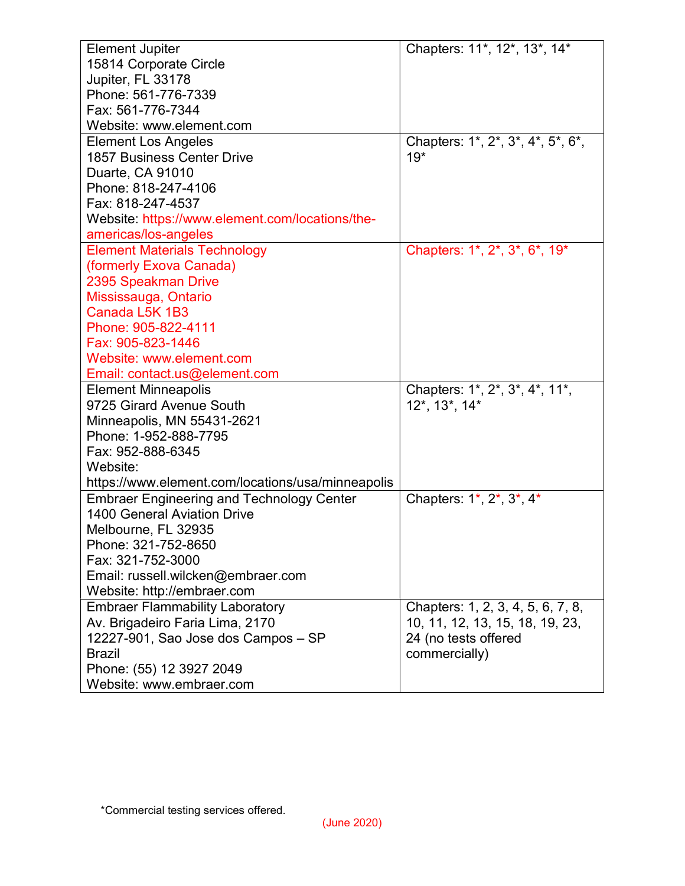| <b>Element Jupiter</b>                            | Chapters: 11*, 12*, 13*, 14*      |
|---------------------------------------------------|-----------------------------------|
| 15814 Corporate Circle                            |                                   |
| Jupiter, FL 33178                                 |                                   |
| Phone: 561-776-7339                               |                                   |
| Fax: 561-776-7344                                 |                                   |
| Website: www.element.com                          |                                   |
| <b>Element Los Angeles</b>                        | Chapters: 1*, 2*, 3*, 4*, 5*, 6*, |
| <b>1857 Business Center Drive</b>                 | $19*$                             |
| Duarte, CA 91010                                  |                                   |
| Phone: 818-247-4106                               |                                   |
| Fax: 818-247-4537                                 |                                   |
| Website: https://www.element.com/locations/the-   |                                   |
| americas/los-angeles                              |                                   |
| <b>Element Materials Technology</b>               | Chapters: 1*, 2*, 3*, 6*, 19*     |
| (formerly Exova Canada)                           |                                   |
| 2395 Speakman Drive                               |                                   |
| Mississauga, Ontario                              |                                   |
| Canada L5K 1B3                                    |                                   |
| Phone: 905-822-4111                               |                                   |
| Fax: 905-823-1446                                 |                                   |
| Website: www.element.com                          |                                   |
| Email: contact.us@element.com                     |                                   |
| <b>Element Minneapolis</b>                        | Chapters: 1*, 2*, 3*, 4*, 11*,    |
| 9725 Girard Avenue South                          | 12*, 13*, 14*                     |
| Minneapolis, MN 55431-2621                        |                                   |
| Phone: 1-952-888-7795                             |                                   |
| Fax: 952-888-6345                                 |                                   |
| Website:                                          |                                   |
| https://www.element.com/locations/usa/minneapolis |                                   |
| <b>Embraer Engineering and Technology Center</b>  | Chapters: 1*, 2*, 3*, 4*          |
| <b>1400 General Aviation Drive</b>                |                                   |
| Melbourne, FL 32935                               |                                   |
| Phone: 321-752-8650                               |                                   |
| Fax: 321-752-3000                                 |                                   |
| Email: russell.wilcken@embraer.com                |                                   |
| Website: http://embraer.com                       |                                   |
| <b>Embraer Flammability Laboratory</b>            | Chapters: 1, 2, 3, 4, 5, 6, 7, 8, |
| Av. Brigadeiro Faria Lima, 2170                   | 10, 11, 12, 13, 15, 18, 19, 23,   |
| 12227-901, Sao Jose dos Campos - SP               | 24 (no tests offered              |
| <b>Brazil</b>                                     | commercially)                     |
| Phone: (55) 12 3927 2049                          |                                   |
| Website: www.embraer.com                          |                                   |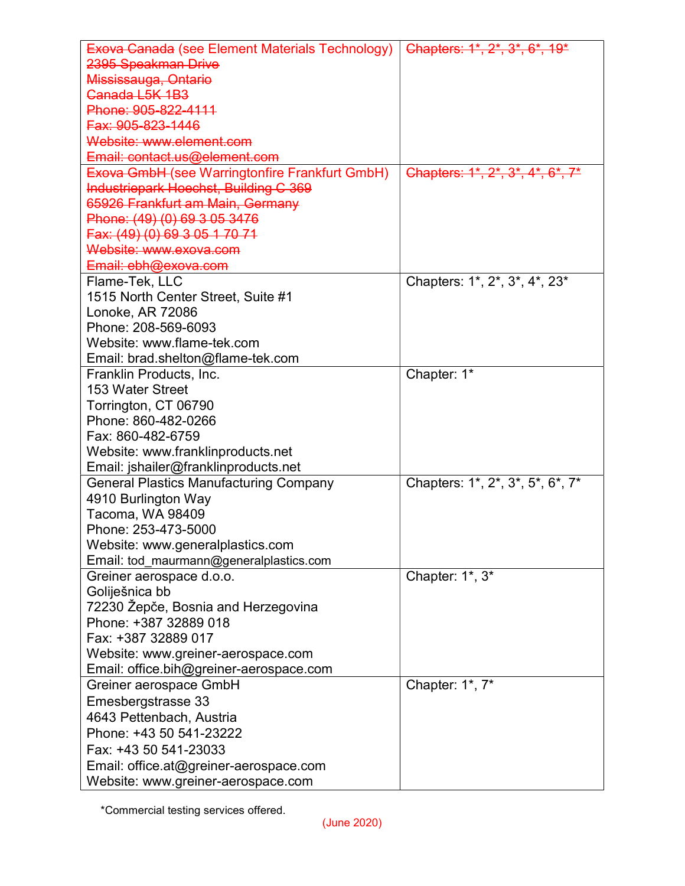| <b>Exova Canada (see Element Materials Technology)</b><br>Chapters: 1*, 2*, 3*, 6*, 19*           |  |
|---------------------------------------------------------------------------------------------------|--|
| 2395 Speakman Drive                                                                               |  |
| Mississauga, Ontario                                                                              |  |
| Canada L5K 1B3                                                                                    |  |
| Phone: 905-822-4111                                                                               |  |
| Fax: 905-823-1446                                                                                 |  |
| Website: www.element.com                                                                          |  |
| Email: contact.us@element.com                                                                     |  |
| <b>Exova GmbH (see Warringtonfire Frankfurt GmbH)</b><br>Chapters: $1^*, 2^*, 3^*, 4^*, 6^*, 7^*$ |  |
| Industriepark Hoechst, Building C 369                                                             |  |
| 65926 Frankfurt am Main, Germany                                                                  |  |
| Phone: (49) (0) 69 3 05 3476                                                                      |  |
| Fax: (49) (0) 69 3 05 1 70 71                                                                     |  |
| Website: www.exova.com                                                                            |  |
| Email: ebh@exova.com                                                                              |  |
| Chapters: 1*, 2*, 3*, 4*, 23*<br>Flame-Tek, LLC                                                   |  |
| 1515 North Center Street, Suite #1                                                                |  |
| Lonoke, AR 72086                                                                                  |  |
| Phone: 208-569-6093                                                                               |  |
| Website: www.flame-tek.com                                                                        |  |
| Email: brad.shelton@flame-tek.com                                                                 |  |
| Chapter: 1*<br>Franklin Products, Inc.                                                            |  |
| 153 Water Street                                                                                  |  |
| Torrington, CT 06790                                                                              |  |
| Phone: 860-482-0266                                                                               |  |
| Fax: 860-482-6759                                                                                 |  |
| Website: www.franklinproducts.net                                                                 |  |
| Email: jshailer@franklinproducts.net                                                              |  |
| Chapters: 1*, 2*, 3*, 5*, 6*, 7*<br><b>General Plastics Manufacturing Company</b>                 |  |
| 4910 Burlington Way                                                                               |  |
| Tacoma, WA 98409                                                                                  |  |
| Phone: 253-473-5000                                                                               |  |
| Website: www.generalplastics.com                                                                  |  |
| Email: tod_maurmann@generalplastics.com                                                           |  |
| Chapter: 1*, 3*<br>Greiner aerospace d.o.o.                                                       |  |
| Goliješnica bb                                                                                    |  |
| 72230 Žepče, Bosnia and Herzegovina                                                               |  |
| Phone: +387 32889 018                                                                             |  |
| Fax: +387 32889 017                                                                               |  |
| Website: www.greiner-aerospace.com                                                                |  |
| Email: office.bih@greiner-aerospace.com                                                           |  |
| Chapter: 1*, 7*<br>Greiner aerospace GmbH                                                         |  |
| Emesbergstrasse 33                                                                                |  |
| 4643 Pettenbach, Austria                                                                          |  |
| Phone: +43 50 541-23222                                                                           |  |
| Fax: +43 50 541-23033                                                                             |  |
| Email: office.at@greiner-aerospace.com                                                            |  |
| Website: www.greiner-aerospace.com                                                                |  |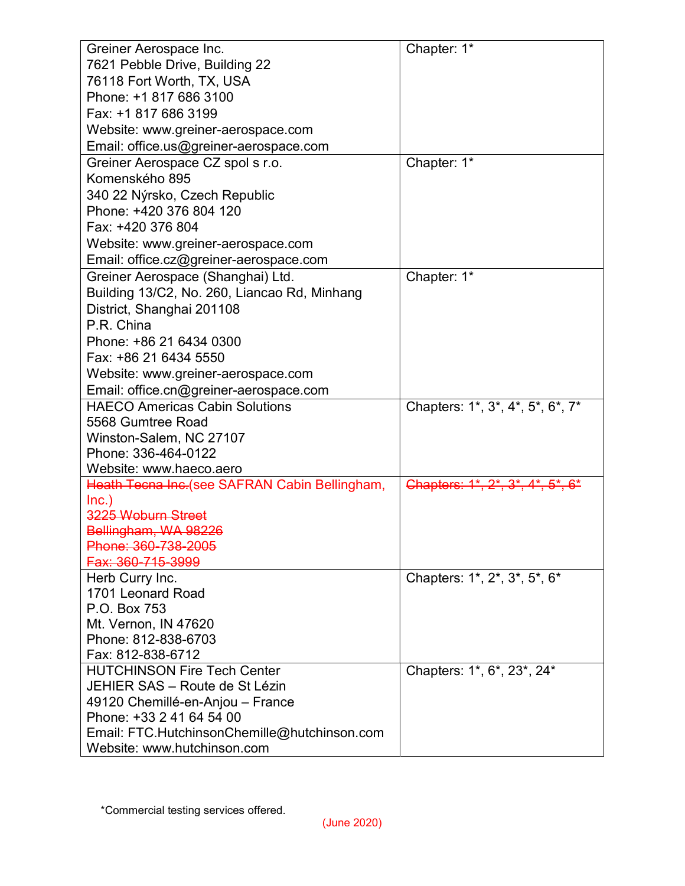| Greiner Aerospace Inc.                        | Chapter: 1*                      |
|-----------------------------------------------|----------------------------------|
| 7621 Pebble Drive, Building 22                |                                  |
| 76118 Fort Worth, TX, USA                     |                                  |
| Phone: +1 817 686 3100                        |                                  |
| Fax: +1 817 686 3199                          |                                  |
| Website: www.greiner-aerospace.com            |                                  |
| Email: office.us@greiner-aerospace.com        |                                  |
| Greiner Aerospace CZ spol s r.o.              | Chapter: 1*                      |
| Komenského 895                                |                                  |
| 340 22 Nýrsko, Czech Republic                 |                                  |
| Phone: +420 376 804 120                       |                                  |
| Fax: +420 376 804                             |                                  |
| Website: www.greiner-aerospace.com            |                                  |
| Email: office.cz@greiner-aerospace.com        |                                  |
| Greiner Aerospace (Shanghai) Ltd.             | Chapter: 1*                      |
| Building 13/C2, No. 260, Liancao Rd, Minhang  |                                  |
| District, Shanghai 201108                     |                                  |
| P.R. China                                    |                                  |
| Phone: +86 21 6434 0300                       |                                  |
|                                               |                                  |
| Fax: +86 21 6434 5550                         |                                  |
| Website: www.greiner-aerospace.com            |                                  |
| Email: office.cn@greiner-aerospace.com        |                                  |
| <b>HAECO Americas Cabin Solutions</b>         | Chapters: 1*, 3*, 4*, 5*, 6*, 7* |
| 5568 Gumtree Road                             |                                  |
| Winston-Salem, NC 27107                       |                                  |
| Phone: 336-464-0122                           |                                  |
| Website: www.haeco.aero                       |                                  |
| Heath Tecna Inc.(see SAFRAN Cabin Bellingham, | Chapters: 1*, 2*, 3*, 4*, 5*, 6* |
| $lnc.$ )<br>3225 Woburn Street                |                                  |
| Bellingham, WA 98226                          |                                  |
| Phone: 360-738-2005                           |                                  |
| Fax: 360-715-3999                             |                                  |
| Herb Curry Inc.                               | Chapters: 1*, 2*, 3*, 5*, 6*     |
| 1701 Leonard Road                             |                                  |
| P.O. Box 753                                  |                                  |
| Mt. Vernon, IN 47620                          |                                  |
| Phone: 812-838-6703                           |                                  |
| Fax: 812-838-6712                             |                                  |
| <b>HUTCHINSON Fire Tech Center</b>            | Chapters: 1*, 6*, 23*, 24*       |
| JEHIER SAS - Route de St Lézin                |                                  |
| 49120 Chemillé-en-Anjou - France              |                                  |
| Phone: +33 2 41 64 54 00                      |                                  |
| Email: FTC.HutchinsonChemille@hutchinson.com  |                                  |
| Website: www.hutchinson.com                   |                                  |
|                                               |                                  |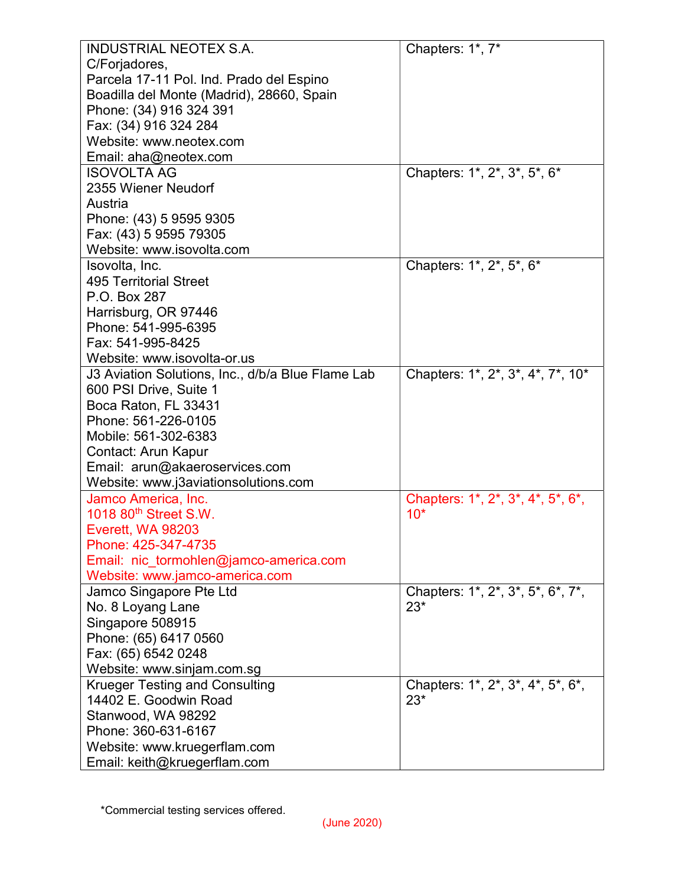| <b>INDUSTRIAL NEOTEX S.A.</b>                     | Chapters: 1*, 7*                  |
|---------------------------------------------------|-----------------------------------|
| C/Forjadores,                                     |                                   |
| Parcela 17-11 Pol. Ind. Prado del Espino          |                                   |
| Boadilla del Monte (Madrid), 28660, Spain         |                                   |
| Phone: (34) 916 324 391                           |                                   |
| Fax: (34) 916 324 284                             |                                   |
| Website: www.neotex.com                           |                                   |
| Email: aha@neotex.com                             |                                   |
| <b>ISOVOLTA AG</b>                                | Chapters: 1*, 2*, 3*, 5*, 6*      |
| 2355 Wiener Neudorf                               |                                   |
| Austria                                           |                                   |
| Phone: (43) 5 9595 9305                           |                                   |
| Fax: (43) 5 9595 79305                            |                                   |
| Website: www.isovolta.com                         |                                   |
| Isovolta, Inc.                                    | Chapters: 1*, 2*, 5*, 6*          |
| <b>495 Territorial Street</b>                     |                                   |
| P.O. Box 287                                      |                                   |
| Harrisburg, OR 97446                              |                                   |
| Phone: 541-995-6395                               |                                   |
| Fax: 541-995-8425                                 |                                   |
| Website: www.isovolta-or.us                       |                                   |
| J3 Aviation Solutions, Inc., d/b/a Blue Flame Lab | Chapters: 1*, 2*, 3*, 4*, 7*, 10* |
| 600 PSI Drive, Suite 1                            |                                   |
| Boca Raton, FL 33431                              |                                   |
| Phone: 561-226-0105                               |                                   |
| Mobile: 561-302-6383                              |                                   |
| Contact: Arun Kapur                               |                                   |
| Email: arun@akaeroservices.com                    |                                   |
| Website: www.j3aviationsolutions.com              |                                   |
| Jamco America, Inc.                               | Chapters: 1*, 2*, 3*, 4*, 5*, 6*, |
| 1018 80 <sup>th</sup> Street S.W.                 | $10*$                             |
| Everett, WA 98203                                 |                                   |
| Phone: 425-347-4735                               |                                   |
| Email: nic_tormohlen@jamco-america.com            |                                   |
| Website: www.jamco-america.com                    |                                   |
| Jamco Singapore Pte Ltd                           | Chapters: 1*, 2*, 3*, 5*, 6*, 7*, |
| No. 8 Loyang Lane                                 | $23*$                             |
| Singapore 508915                                  |                                   |
| Phone: (65) 6417 0560                             |                                   |
| Fax: (65) 6542 0248                               |                                   |
| Website: www.sinjam.com.sg                        |                                   |
| <b>Krueger Testing and Consulting</b>             | Chapters: 1*, 2*, 3*, 4*, 5*, 6*, |
| 14402 E. Goodwin Road                             | $23*$                             |
| Stanwood, WA 98292                                |                                   |
| Phone: 360-631-6167                               |                                   |
| Website: www.kruegerflam.com                      |                                   |
| Email: keith@kruegerflam.com                      |                                   |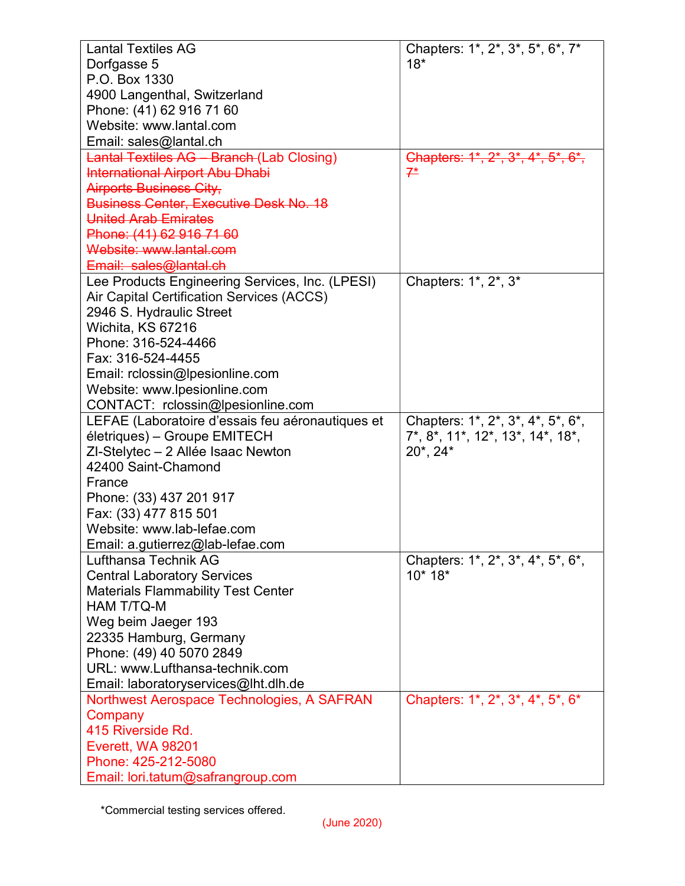| <b>Lantal Textiles AG</b>                        | Chapters: 1*, 2*, 3*, 5*, 6*, 7*                                                                 |
|--------------------------------------------------|--------------------------------------------------------------------------------------------------|
| Dorfgasse 5                                      | $18*$                                                                                            |
| P.O. Box 1330                                    |                                                                                                  |
| 4900 Langenthal, Switzerland                     |                                                                                                  |
| Phone: (41) 62 916 71 60                         |                                                                                                  |
| Website: www.lantal.com                          |                                                                                                  |
| Email: sales@lantal.ch                           |                                                                                                  |
| <b>Lantal Textiles AG - Branch (Lab Closing)</b> | Chapters: 1*, 2*, 3*, 4*, 5*, 6*,                                                                |
| <b>International Airport Abu Dhabi</b>           | $7^*$                                                                                            |
| <b>Airports Business City,</b>                   |                                                                                                  |
| <b>Business Center, Executive Desk No. 18</b>    |                                                                                                  |
| <b>United Arab Emirates</b>                      |                                                                                                  |
| Phone: (41) 62 916 71 60                         |                                                                                                  |
| Website: www.lantal.com                          |                                                                                                  |
| Email: sales@lantal.ch                           |                                                                                                  |
| Lee Products Engineering Services, Inc. (LPESI)  | Chapters: 1*, 2*, 3*                                                                             |
| Air Capital Certification Services (ACCS)        |                                                                                                  |
| 2946 S. Hydraulic Street                         |                                                                                                  |
| Wichita, KS 67216                                |                                                                                                  |
| Phone: 316-524-4466                              |                                                                                                  |
| Fax: 316-524-4455                                |                                                                                                  |
| Email: rclossin@lpesionline.com                  |                                                                                                  |
| Website: www.lpesionline.com                     |                                                                                                  |
| CONTACT: rclossin@lpesionline.com                |                                                                                                  |
| LEFAE (Laboratoire d'essais feu aéronautiques et | Chapters: 1*, 2*, 3*, 4*, 5*, 6*,                                                                |
| életriques) – Groupe EMITECH                     | $7^*$ , $8^*$ , $11^*$ , $12^*$ , $13^*$ , $14^*$ , $18^*$ ,                                     |
| ZI-Stelytec - 2 Allée Isaac Newton               | $20^*$ , $24^*$                                                                                  |
| 42400 Saint-Chamond                              |                                                                                                  |
| France                                           |                                                                                                  |
| Phone: (33) 437 201 917                          |                                                                                                  |
| Fax: (33) 477 815 501                            |                                                                                                  |
| Website: www.lab-lefae.com                       |                                                                                                  |
| Email: a.gutierrez@lab-lefae.com                 |                                                                                                  |
| Lufthansa Technik AG                             | Chapters: 1*, 2*, 3*, 4*, 5*, 6*,                                                                |
| <b>Central Laboratory Services</b>               | $10*18*$                                                                                         |
| <b>Materials Flammability Test Center</b>        |                                                                                                  |
| HAM T/TQ-M                                       |                                                                                                  |
| Weg beim Jaeger 193                              |                                                                                                  |
| 22335 Hamburg, Germany                           |                                                                                                  |
| Phone: (49) 40 5070 2849                         |                                                                                                  |
| URL: www.Lufthansa-technik.com                   |                                                                                                  |
| Email: laboratoryservices@lht.dlh.de             |                                                                                                  |
| Northwest Aerospace Technologies, A SAFRAN       | Chapters: 1*, 2 <sup>*</sup> , 3 <sup>*</sup> , 4 <sup>*</sup> , 5 <sup>*</sup> , 6 <sup>*</sup> |
| Company                                          |                                                                                                  |
| 415 Riverside Rd.                                |                                                                                                  |
| Everett, WA 98201                                |                                                                                                  |
| Phone: 425-212-5080                              |                                                                                                  |
| Email: lori.tatum@safrangroup.com                |                                                                                                  |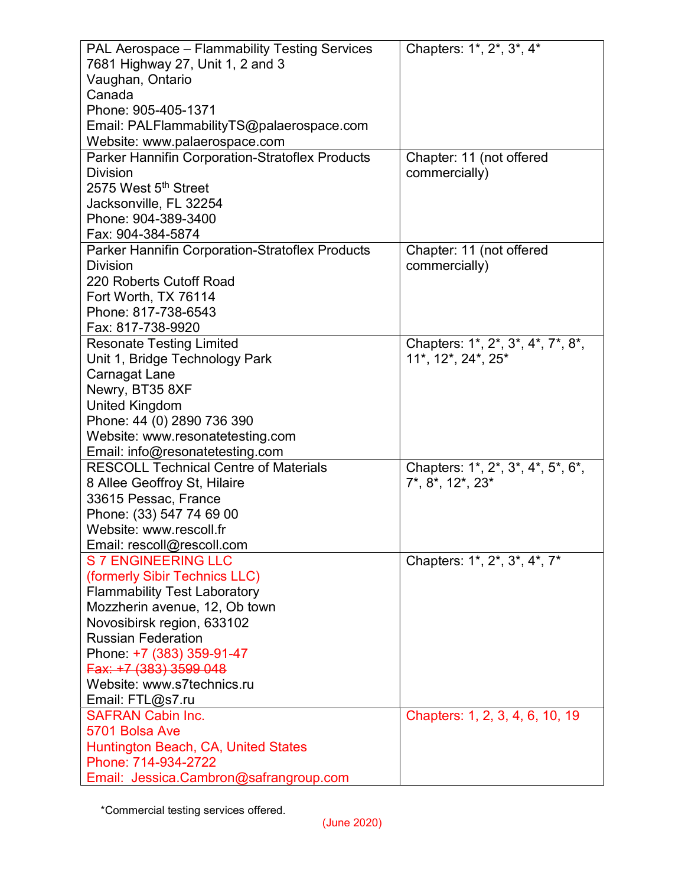| PAL Aerospace - Flammability Testing Services          | Chapters: 1*, 2*, 3*, 4*          |
|--------------------------------------------------------|-----------------------------------|
| 7681 Highway 27, Unit 1, 2 and 3                       |                                   |
| Vaughan, Ontario                                       |                                   |
| Canada                                                 |                                   |
| Phone: 905-405-1371                                    |                                   |
| Email: PALFlammabilityTS@palaerospace.com              |                                   |
| Website: www.palaerospace.com                          |                                   |
| <b>Parker Hannifin Corporation-Stratoflex Products</b> | Chapter: 11 (not offered          |
| <b>Division</b>                                        | commercially)                     |
| 2575 West 5 <sup>th</sup> Street                       |                                   |
| Jacksonville, FL 32254                                 |                                   |
| Phone: 904-389-3400                                    |                                   |
| Fax: 904-384-5874                                      |                                   |
| Parker Hannifin Corporation-Stratoflex Products        | Chapter: 11 (not offered          |
| <b>Division</b>                                        | commercially)                     |
| 220 Roberts Cutoff Road                                |                                   |
| Fort Worth, TX 76114                                   |                                   |
| Phone: 817-738-6543                                    |                                   |
| Fax: 817-738-9920                                      |                                   |
| <b>Resonate Testing Limited</b>                        | Chapters: 1*, 2*, 3*, 4*, 7*, 8*, |
| Unit 1, Bridge Technology Park                         | 11*, 12*, 24*, 25*                |
| Carnagat Lane                                          |                                   |
| Newry, BT35 8XF                                        |                                   |
| <b>United Kingdom</b>                                  |                                   |
| Phone: 44 (0) 2890 736 390                             |                                   |
| Website: www.resonatetesting.com                       |                                   |
| Email: info@resonatetesting.com                        |                                   |
| <b>RESCOLL Technical Centre of Materials</b>           | Chapters: 1*, 2*, 3*, 4*, 5*, 6*, |
| 8 Allee Geoffroy St, Hilaire                           | $7^*$ , $8^*$ , $12^*$ , $23^*$   |
| 33615 Pessac, France                                   |                                   |
| Phone: (33) 547 74 69 00                               |                                   |
| Website: www.rescoll.fr                                |                                   |
| Email: rescoll@rescoll.com                             |                                   |
| S 7 ENGINEERING LLC                                    | Chapters: 1*, 2*, 3*, 4*, 7*      |
| (formerly Sibir Technics LLC)                          |                                   |
| <b>Flammability Test Laboratory</b>                    |                                   |
| Mozzherin avenue, 12, Ob town                          |                                   |
| Novosibirsk region, 633102                             |                                   |
| <b>Russian Federation</b>                              |                                   |
| Phone: +7 (383) 359-91-47                              |                                   |
| Fax: +7 (383) 3599 048                                 |                                   |
| Website: www.s7technics.ru                             |                                   |
| Email: FTL@s7.ru                                       |                                   |
| <b>SAFRAN Cabin Inc.</b>                               | Chapters: 1, 2, 3, 4, 6, 10, 19   |
| 5701 Bolsa Ave                                         |                                   |
| Huntington Beach, CA, United States                    |                                   |
| Phone: 714-934-2722                                    |                                   |
| Email: Jessica.Cambron@safrangroup.com                 |                                   |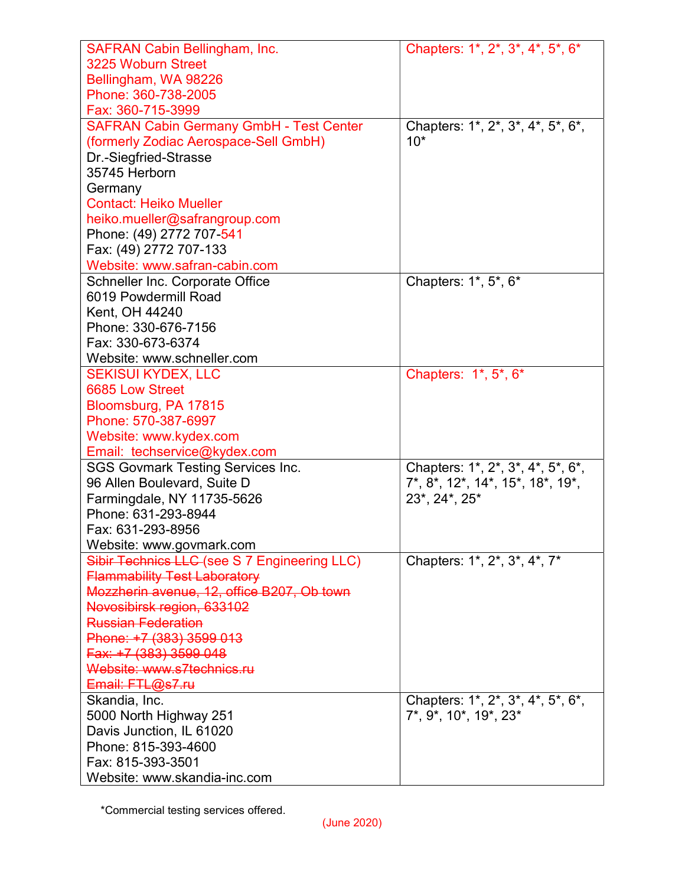| <b>SAFRAN Cabin Bellingham, Inc.</b>           | Chapters: 1*, 2*, 3*, 4*, 5*, 6*                             |
|------------------------------------------------|--------------------------------------------------------------|
| 3225 Woburn Street                             |                                                              |
| Bellingham, WA 98226                           |                                                              |
| Phone: 360-738-2005                            |                                                              |
| Fax: 360-715-3999                              |                                                              |
| <b>SAFRAN Cabin Germany GmbH - Test Center</b> | Chapters: 1*, 2*, 3*, 4*, 5*, 6*,                            |
| (formerly Zodiac Aerospace-Sell GmbH)          | $10*$                                                        |
| Dr.-Siegfried-Strasse                          |                                                              |
| 35745 Herborn                                  |                                                              |
| Germany                                        |                                                              |
| <b>Contact: Heiko Mueller</b>                  |                                                              |
| heiko.mueller@safrangroup.com                  |                                                              |
| Phone: (49) 2772 707-541                       |                                                              |
| Fax: (49) 2772 707-133                         |                                                              |
| Website: www.safran-cabin.com                  |                                                              |
| Schneller Inc. Corporate Office                | Chapters: 1*, 5*, 6*                                         |
| 6019 Powdermill Road                           |                                                              |
| Kent, OH 44240                                 |                                                              |
| Phone: 330-676-7156                            |                                                              |
| Fax: 330-673-6374                              |                                                              |
| Website: www.schneller.com                     |                                                              |
| <b>SEKISUI KYDEX, LLC</b>                      | Chapters: 1*, 5*, 6*                                         |
| 6685 Low Street                                |                                                              |
| Bloomsburg, PA 17815                           |                                                              |
| Phone: 570-387-6997                            |                                                              |
| Website: www.kydex.com                         |                                                              |
| Email: techservice@kydex.com                   |                                                              |
| <b>SGS Govmark Testing Services Inc.</b>       | Chapters: 1*, 2*, 3*, 4*, 5*, 6*,                            |
| 96 Allen Boulevard, Suite D                    | $7^*$ , $8^*$ , $12^*$ , $14^*$ , $15^*$ , $18^*$ , $19^*$ , |
| Farmingdale, NY 11735-5626                     | 23*, 24*, 25*                                                |
| Phone: 631-293-8944                            |                                                              |
| Fax: 631-293-8956                              |                                                              |
| Website: www.govmark.com                       |                                                              |
| Sibir Technics LLC (see S 7 Engineering LLC)   | Chapters: 1*, 2*, 3*, 4*, 7*                                 |
| <b>Flammability Test Laboratory</b>            |                                                              |
| Mozzherin avenue, 12, office B207, Ob town     |                                                              |
| Novosibirsk region, 633102                     |                                                              |
| <b>Russian Federation</b>                      |                                                              |
| Phone: +7 (383) 3599 013                       |                                                              |
| Fax: +7 (383) 3599 048                         |                                                              |
| Website: www.s7technics.ru                     |                                                              |
| Email: FTL@s7.ru                               |                                                              |
| Skandia, Inc.                                  | Chapters: 1*, 2*, 3*, 4*, 5*, 6*,                            |
| 5000 North Highway 251                         | 7*, 9*, 10*, 19*, 23*                                        |
| Davis Junction, IL 61020                       |                                                              |
| Phone: 815-393-4600                            |                                                              |
| Fax: 815-393-3501                              |                                                              |
| Website: www.skandia-inc.com                   |                                                              |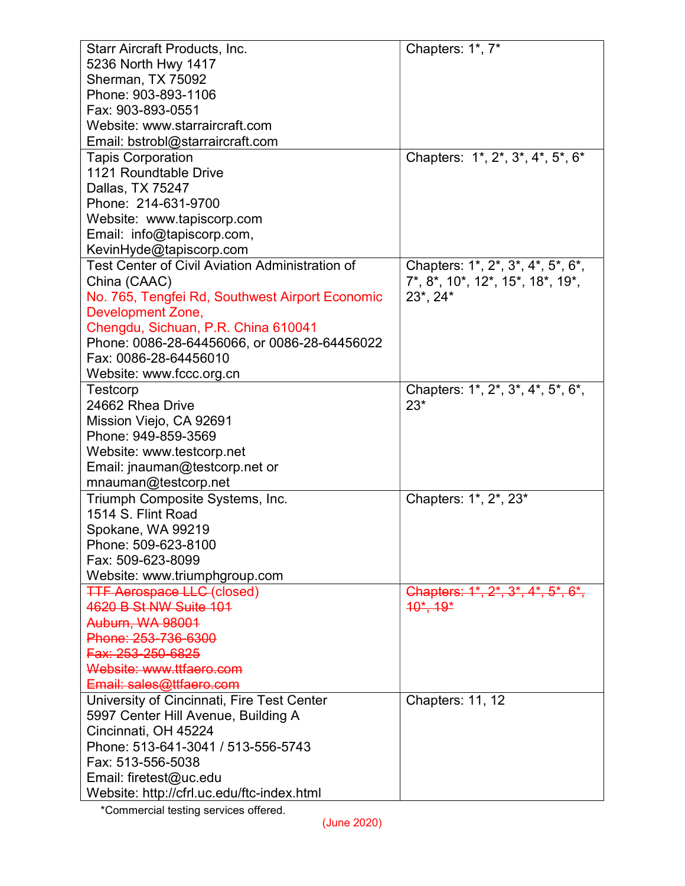| <b>Starr Aircraft Products, Inc.</b>            | Chapters: 1*, 7*                                                                        |
|-------------------------------------------------|-----------------------------------------------------------------------------------------|
| 5236 North Hwy 1417                             |                                                                                         |
| Sherman, TX 75092                               |                                                                                         |
| Phone: 903-893-1106                             |                                                                                         |
| Fax: 903-893-0551                               |                                                                                         |
| Website: www.starraircraft.com                  |                                                                                         |
| Email: bstrobl@starraircraft.com                |                                                                                         |
| <b>Tapis Corporation</b>                        | Chapters: 1*, 2*, 3*, 4*, 5*, 6*                                                        |
| 1121 Roundtable Drive                           |                                                                                         |
| Dallas, TX 75247                                |                                                                                         |
| Phone: 214-631-9700                             |                                                                                         |
| Website: www.tapiscorp.com                      |                                                                                         |
| Email: info@tapiscorp.com,                      |                                                                                         |
| KevinHyde@tapiscorp.com                         |                                                                                         |
| Test Center of Civil Aviation Administration of | Chapters: 1*, 2*, 3*, 4*, 5*, 6*,                                                       |
| China (CAAC)                                    | 7*, 8*, 10*, 12*, 15*, 18*, 19*,                                                        |
| No. 765, Tengfei Rd, Southwest Airport Economic | $23^*$ , $24^*$                                                                         |
| <b>Development Zone,</b>                        |                                                                                         |
| Chengdu, Sichuan, P.R. China 610041             |                                                                                         |
| Phone: 0086-28-64456066, or 0086-28-64456022    |                                                                                         |
| Fax: 0086-28-64456010                           |                                                                                         |
| Website: www.fccc.org.cn                        |                                                                                         |
| <b>Testcorp</b>                                 | Chapters: 1*, 2*, 3*, 4*, 5*, 6*,                                                       |
| 24662 Rhea Drive                                | $23*$                                                                                   |
| Mission Viejo, CA 92691                         |                                                                                         |
| Phone: 949-859-3569                             |                                                                                         |
| Website: www.testcorp.net                       |                                                                                         |
| Email: jnauman@testcorp.net or                  |                                                                                         |
| mnauman@testcorp.net                            |                                                                                         |
| Triumph Composite Systems, Inc.                 | Chapters: 1*, 2*, 23*                                                                   |
| 1514 S. Flint Road                              |                                                                                         |
| Spokane, WA 99219                               |                                                                                         |
| Phone: 509-623-8100                             |                                                                                         |
| Fax: 509-623-8099                               |                                                                                         |
| Website: www.triumphgroup.com                   |                                                                                         |
| <b>TTF Aerospace LLC</b> (closed)               | Chapters: $1^{\ast}$ , $2^{\ast}$ , $3^{\ast}$ , $4^{\ast}$ , $5^{\ast}$ , $6^{\ast}$ , |
| 4620 B St NW Suite 101                          | $10^{\star}, 19^{\star}$                                                                |
| <b>Auburn, WA 98001</b>                         |                                                                                         |
| Phone: 253-736-6300                             |                                                                                         |
| Fax: 253-250-6825                               |                                                                                         |
| Website: www.ttfaero.com                        |                                                                                         |
| Email: sales@ttfaero.com                        |                                                                                         |
| University of Cincinnati, Fire Test Center      | <b>Chapters: 11, 12</b>                                                                 |
| 5997 Center Hill Avenue, Building A             |                                                                                         |
| Cincinnati, OH 45224                            |                                                                                         |
| Phone: 513-641-3041 / 513-556-5743              |                                                                                         |
| Fax: 513-556-5038                               |                                                                                         |
| Email: firetest@uc.edu                          |                                                                                         |
| Website: http://cfrl.uc.edu/ftc-index.html      |                                                                                         |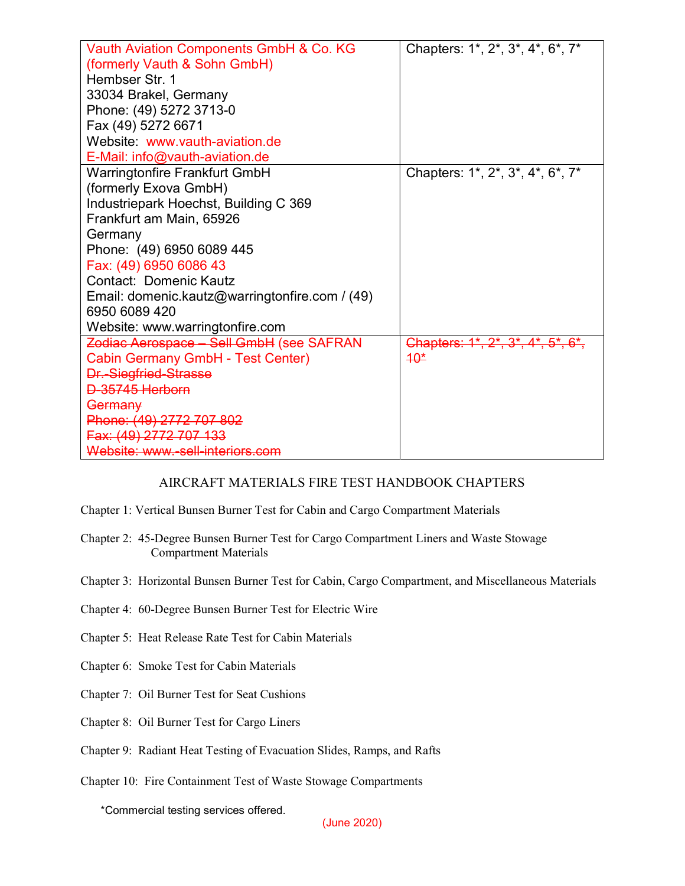| Vauth Aviation Components GmbH & Co. KG        | Chapters: 1*, 2*, 3*, 4*, 6*, 7*  |
|------------------------------------------------|-----------------------------------|
| (formerly Vauth & Sohn GmbH)                   |                                   |
| Hembser Str. 1                                 |                                   |
| 33034 Brakel, Germany                          |                                   |
| Phone: (49) 5272 3713-0                        |                                   |
| Fax (49) 5272 6671                             |                                   |
| Website: www.vauth-aviation.de                 |                                   |
| E-Mail: info@vauth-aviation.de                 |                                   |
| <b>Warringtonfire Frankfurt GmbH</b>           | Chapters: 1*, 2*, 3*, 4*, 6*, 7*  |
| (formerly Exova GmbH)                          |                                   |
| Industriepark Hoechst, Building C 369          |                                   |
| Frankfurt am Main, 65926                       |                                   |
| Germany                                        |                                   |
| Phone: (49) 6950 6089 445                      |                                   |
| Fax: (49) 6950 6086 43                         |                                   |
| <b>Contact: Domenic Kautz</b>                  |                                   |
| Email: domenic.kautz@warringtonfire.com / (49) |                                   |
| 6950 6089 420                                  |                                   |
| Website: www.warringtonfire.com                |                                   |
| Zodiac Aerospace - Sell GmbH (see SAFRAN       | Chapters: 1*, 2*, 3*, 4*, 5*, 6*, |
| Cabin Germany GmbH - Test Center)              | $40*$                             |
| <b>Dr.-Siegfried-Strasse</b>                   |                                   |
| D-35745 Herborn                                |                                   |
| Germany                                        |                                   |
| Phone: (49) 2772 707 802                       |                                   |
| Fax: (49) 2772 707 133                         |                                   |
| Website: www.-sell-interiors.com               |                                   |

## AIRCRAFT MATERIALS FIRE TEST HANDBOOK CHAPTERS

- Chapter 1: Vertical Bunsen Burner Test for Cabin and Cargo Compartment Materials
- Chapter 2: 45-Degree Bunsen Burner Test for Cargo Compartment Liners and Waste Stowage Compartment Materials
- Chapter 3: Horizontal Bunsen Burner Test for Cabin, Cargo Compartment, and Miscellaneous Materials
- Chapter 4: 60-Degree Bunsen Burner Test for Electric Wire
- Chapter 5: Heat Release Rate Test for Cabin Materials
- Chapter 6: Smoke Test for Cabin Materials
- Chapter 7: Oil Burner Test for Seat Cushions
- Chapter 8: Oil Burner Test for Cargo Liners
- Chapter 9: Radiant Heat Testing of Evacuation Slides, Ramps, and Rafts
- Chapter 10: Fire Containment Test of Waste Stowage Compartments

\*Commercial testing services offered.

(June 2020)